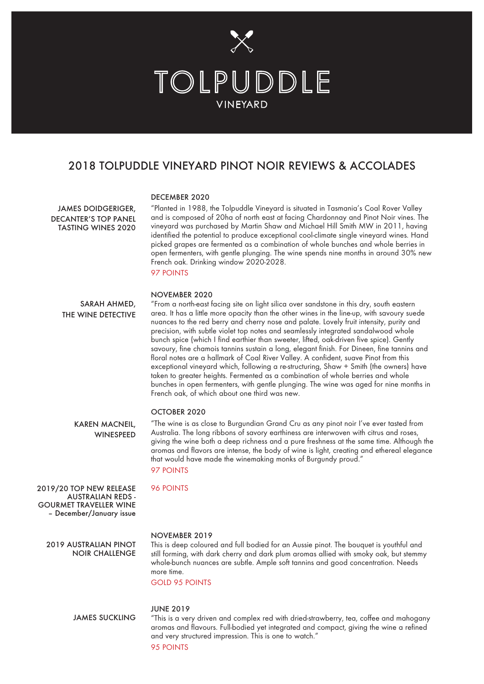

# 2018 TOLPUDDLE VINEYARD PINOT NOIR REVIEWS & ACCOLADES

## DECEMBER 2020

JAMES DOIDGERIGER, DECANTER'S TOP PANEL TASTING WINES 2020

"Planted in 1988, the Tolpuddle Vineyard is situated in Tasmania's Coal Rover Valley and is composed of 20ha of north east at facing Chardonnay and Pinot Noir vines. The vineyard was purchased by Martin Shaw and Michael Hill Smith MW in 2011, having identified the potential to produce exceptional cool-climate single vineyard wines. Hand picked grapes are fermented as a combination of whole bunches and whole berries in open fermenters, with gentle plunging. The wine spends nine months in around 30% new French oak. Drinking window 2020-2028. 97 POINTS

## NOVEMBER 2020

"From a north-east facing site on light silica over sandstone in this dry, south eastern area. It has a little more opacity than the other wines in the line-up, with savoury suede nuances to the red berry and cherry nose and palate. Lovely fruit intensity, purity and precision, with subtle violet top notes and seamlessly integrated sandalwood whole bunch spice (which I find earthier than sweeter, lifted, oak-driven five spice). Gently savoury, fine chamois tannins sustain a long, elegant finish. For Dineen, fine tannins and floral notes are a hallmark of Coal River Valley. A confident, suave Pinot from this exceptional vineyard which, following a re-structuring, Shaw + Smith (the owners) have taken to greater heights. Fermented as a combination of whole berries and whole bunches in open fermenters, with gentle plunging. The wine was aged for nine months in French oak, of which about one third was new. SARAH AHMED, THE WINE DETECTIVE

## OCTOBER 2020

"The wine is as close to Burgundian Grand Cru as any pinot noir I've ever tasted from Australia. The long ribbons of savory earthiness are interwoven with citrus and roses, giving the wine both a deep richness and a pure freshness at the same time. Although the aromas and flavors are intense, the body of wine is light, creating and ethereal elegance that would have made the winemaking monks of Burgundy proud."

97 POINTS 96 POINTS

2019/20 TOP NEW RELEASE AUSTRALIAN REDS - GOURMET TRAVELLER WINE – December/January issue

KAREN MACNEIL, **WINESPEED** 

#### NOVEMBER 2019

2019 AUSTRALIAN PINOT NOIR CHALLENGE

JAMES SUCKLING

This is deep coloured and full bodied for an Aussie pinot. The bouquet is youthful and still forming, with dark cherry and dark plum aromas allied with smoky oak, but stemmy whole-bunch nuances are subtle. Ample soft tannins and good concentration. Needs more time.

GOLD 95 POINTS

#### JUNE 2019

"This is a very driven and complex red with dried-strawberry, tea, coffee and mahogany aromas and flavours. Full-bodied yet integrated and compact, giving the wine a refined and very structured impression. This is one to watch."

95 POINTS